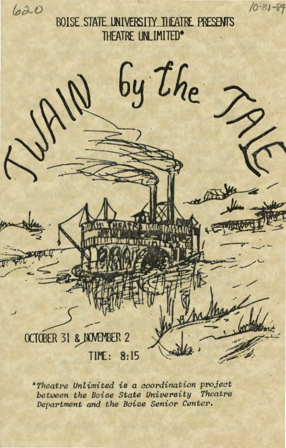620

BOISE STATE UNIVERSITY THEATRE PRESENTS THEATRE UNLIMITED\*

 $10 - 31 - 89$ 

# by the OCTOBER 31 & NOVEMBER 2 TIME: 8:15

\*Theatre Unlimited is a coordination project between the Boise State University Theatre Department and the Boise Senior Center.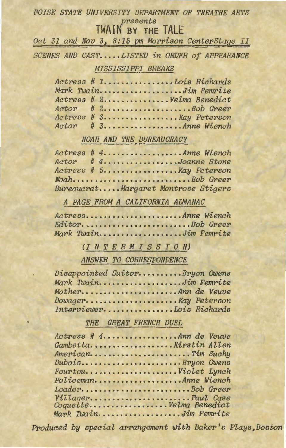# **BOISE STATE UNIVERSITY DEPARTMENT OF THEATRE ARTS** presents

# TWAIN BY THE TALE

Oct 31 and Nov 3, 8:15 pm Morrison CenterStage II

SCENES AND CAST.....LISTED in ORDER of APPEARANCE

### MISSISSIPPI BREAKS

|  |  |  |  |  |  |  |  |  |  | Actress # 1 Lois Richards   |
|--|--|--|--|--|--|--|--|--|--|-----------------------------|
|  |  |  |  |  |  |  |  |  |  | Mark TwainJim Femrite       |
|  |  |  |  |  |  |  |  |  |  | Actress # 2Velma Benedict   |
|  |  |  |  |  |  |  |  |  |  |                             |
|  |  |  |  |  |  |  |  |  |  | Actress # 3 Kay Peterson    |
|  |  |  |  |  |  |  |  |  |  | $Action$ $\# 3$ Anne Wiench |

### NOAH AND THE BUREAUCRACY

Actress # 4..................Anne Wiench Actor # 4...............Joanne Stone Actress # 5.................. Kay Peterson Noah...........................Bob Greer Bureaucrat ••••• Margaret Montrose Stigers

A PAGE FROM A CALIFORNIA ALMANAC

Actress •••••••••••••••••••••• Anne Wiench Editor • •••••••••••••••••••••••• Bob Greer Mark TWain ••••••••••••••••••• Jim Femrite

## (INTER MISS I 0 N)

ANSWER TO CORRESPONDENCE

| Disappointed SuitorBryon Owens |  |
|--------------------------------|--|
| Mark TwainJim Femrite          |  |
| MotherAnn de Veuve             |  |
| Dowager Kay Peterson           |  |
| InterviewerIois Richards       |  |

### THE GREAT FRENCH DUEL

| Actress # 4Ann de Veuve |  |
|-------------------------|--|
| Gambetta Allen          |  |
| AmericanTim Suchy       |  |
| DuboisBryon Owens       |  |
|                         |  |
| PolicemanAnne Wiench    |  |
| LoaderBob Greer         |  |
| VillagerPaul Case       |  |
| CoquetteVelma Benedict  |  |
| Mark TwainJim Femrite   |  |

Produced by special arrangement with Baker's Plays, Boston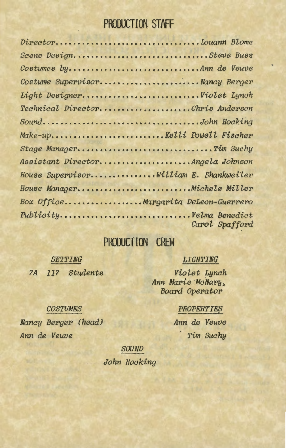# **PRODUCTION STAFF**

| Scene DesignSteve Buss                 |                |
|----------------------------------------|----------------|
| Costumes byAnn de Veuve                |                |
| Costume SupervisorNancy Berger         |                |
|                                        |                |
| Technical DirectorChris Anderson       |                |
| SoundJohn Hocking                      |                |
|                                        |                |
| Stage ManagerTim Suchy                 |                |
| Assistant DirectorAngela Johnson       |                |
| House SupervisorWilliam E. Shankweiler |                |
| House ManagerMichele Miller            |                |
| Box OfficeMargarita DeLeon-Guerrero    |                |
|                                        | Carol Spafford |

# **PRODUCTION CREW**

*SE'l'TING ?A 117 Students* 

*COSTUMES Nancy Berger (head)* 

*Ann de Veuve* 

# *LIGHTING*

*Violet Lynch Ann Marie ·McNarb, Board Operator* 

# *PROPERTIES*

*Ann de Veuve Tim Suchy* 

*SOUND* 

*John Hocking*